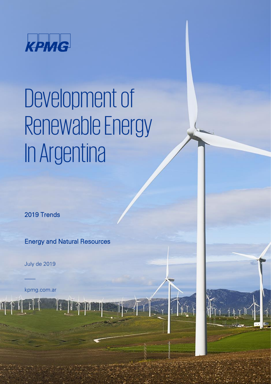

# Development of Renewable Energy In Argentina

2019 Trends

Energy and Natural Resources

**It NATION** 

July de 2019

 $\overline{\phantom{a}}$ 

IT

kpmg.com.ar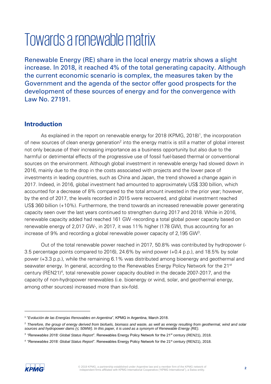# Towards a renewable matrix

Renewable Energy (RE) share in the local energy matrix shows a slight increase. In 2018, it reached 4% of the total generating capacity. Although the current economic scenario is complex, the measures taken by the Government and the agenda of the sector offer good prospects for the development of these sources of energy and for the convergence with Law No. 27191.

#### **Introduction**

As explained in the report on renewable energy for 2018 (KPMG, 2018)<sup>1</sup>, the incorporation of new sources of clean energy generation<sup>2</sup> into the energy matrix is still a matter of global interest not only because of their increasing importance as a business opportunity but also due to the harmful or detrimental effects of the progressive use of fossil fuel-based thermal or conventional sources on the environment. Although global investment in renewable energy had slowed down in 2016, mainly due to the drop in the costs associated with projects and the lower pace of investments in leading countries, such as China and Japan, the trend showed a change again in 2017. Indeed, in 2016, global investment had amounted to approximately US\$ 330 billion, which accounted for a decrease of 8% compared to the total amount invested in the prior year; however, by the end of 2017, the levels recorded in 2015 were recovered, and global investment reached US\$ 360 billion (+10%). Furthermore, the trend towards an increased renewable power generating capacity seen over the last years continued to strengthen during 2017 and 2018. While in 2016, renewable capacity added had reached 161 GW -recording a total global power capacity based on renewable energy of 2,017 GW-, in 2017, it was 11% higher (178 GW), thus accounting for an increase of 9% and recording a global renewable power capacity of 2,195 GW<sup>3</sup>.

Out of the total renewable power reached in 2017, 50.8% was contributed by hydropower (- 3.5 percentage points compared to 2016), 24.6% by wind power (+0.4 p.p.), and 18.5% by solar power (+3.3 p.p.), while the remaining 6.1% was distributed among bioenergy and geothermal and seawater energy. In general, according to the Renewables Energy Policy Network for the 21<sup>st</sup> century (REN21)<sup>4</sup>, total renewable power capacity doubled in the decade 2007-2017, and the capacity of non-hydropower renewables (i.e. bioenergy or wind, solar, and geothermal energy, among other sources) increased more than six-fold.

<sup>&</sup>lt;sup>4</sup> "Renewables 2018: Global Status Report". Renewables Energy Policy Network for the 21<sup>st</sup> century (REN21), 2018.



<sup>1</sup> "*Evolución de las Energías Renovables en Argentina*", KPMG in Argentina, March 2018.

<sup>2</sup> *Therefore, the group of energy derived from biofuels, biomass and waste, as well as energy resulting from geothermal, wind and solar sources and hydropower dams (*≤ *50MW). In this paper, it is used as a synonym of Renewable Energy (RE).*

<sup>&</sup>lt;sup>3</sup> "Renewables 2018: Global Status Report". Renewables Energy Policy Network for the 21<sup>st</sup> century (REN21), 2018.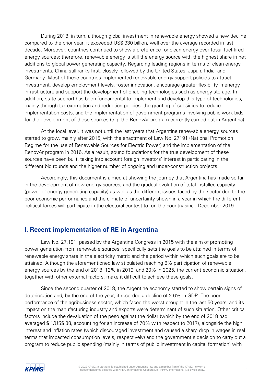During 2018, in turn, although global investment in renewable energy showed a new decline compared to the prior year, it exceeded US\$ 330 billion, well over the average recorded in last decade. Moreover, countries continued to show a preference for clean energy over fossil fuel-fired energy sources; therefore, renewable energy is still the energy source with the highest share in net additions to global power generating capacity. Regarding leading regions in terms of clean energy investments, China still ranks first, closely followed by the United States, Japan, India, and Germany. Most of these countries implemented renewable energy support policies to attract investment, develop employment levels, foster innovation, encourage greater flexibility in energy infrastructure and support the development of enabling technologies such as energy storage. In addition, state support has been fundamental to implement and develop this type of technologies, mainly through tax exemption and reduction policies, the granting of subsidies to reduce implementation costs, and the implementation of government programs involving public work bids for the development of these sources (e.g. the RenovAr program currently carried out in Argentina).

At the local level, it was not until the last years that Argentine renewable energy sources started to grow, mainly after 2015, with the enactment of Law No. 27191 (National Promotion Regime for the use of Renewable Sources for Electric Power) and the implementation of the RenovAr program in 2016. As a result, sound foundations for the true development of these sources have been built, taking into account foreign investors' interest in participating in the different bid rounds and the higher number of ongoing and under-construction projects.

Accordingly, this document is aimed at showing the journey that Argentina has made so far in the development of new energy sources, and the gradual evolution of total installed capacity (power or energy generating capacity) as well as the different issues faced by the sector due to the poor economic performance and the climate of uncertainty shown in a year in which the different political forces will participate in the electoral contest to run the country since December 2019.

#### **I. Recent implementation of RE in Argentina**

Law No. 27,191, passed by the Argentine Congress in 2015 with the aim of promoting power generation from renewable sources, specifically sets the goals to be attained in terms of renewable energy share in the electricity matrix and the period within which such goals are to be attained. Although the aforementioned law stipulated reaching 8% participation of renewable energy sources by the end of 2018, 12% in 2019, and 20% in 2025, the current economic situation, together with other external factors, make it difficult to achieve these goals.

Since the second quarter of 2018, the Argentine economy started to show certain signs of deterioration and, by the end of the year, it recorded a decline of 2.6% in GDP. The poor performance of the agribusiness sector, which faced the worst drought in the last 50 years, and its impact on the manufacturing industry and exports were determinant of such situation. Other critical factors include the devaluation of the peso against the dollar (which by the end of 2018 had averaged \$ 1/US\$ 38, accounting for an increase of 70% with respect to 2017), alongside the high interest and inflation rates (which discouraged investment and caused a sharp drop in wages in real terms that impacted consumption levels, respectively) and the government's decision to carry out a program to reduce public spending (mainly in terms of public investment in capital formation) with

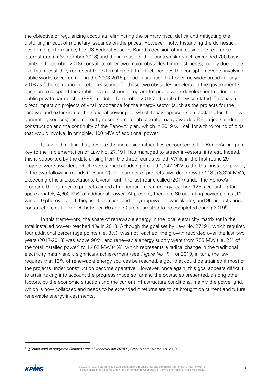the objective of regularizing accounts, eliminating the primary fiscal deficit and mitigating the distorting impact of monetary issuance on the prices. However, notwithstanding the domestic economic performance, the US Federal Reserve Board's decision of increasing the reference interest rate (in September 2018) and the increase in the country risk (which exceeded 700 basis points in December 2018) constitute other two major obstacles for investments, mainly due to the exorbitant cost they represent for external credit. In effect, besides the corruption events involving public works occurred during the 2003-2015 period -a situation that became widespread in early 2018 as "the corruption notebooks scandal"-, those two obstacles accelerated the government's decision to suspend the ambitious investment program for public work development under the public-private partnership (PPP) model in December 2018 and until otherwise stated. This had a direct impact on projects of vital importance for the energy sector (such as the projects for the renewal and extension of the national power grid, which today represents an obstacle for the new generating sources), and indirectly raised some doubt about already awarded RE projects under construction and the continuity of the RenovAr plan, which in 2019 will call for a third round of bids that would involve, in principle, 400 MW of additional power.

It is worth noting that, despite the increasing difficulties encountered, the RenovAr program, key to the implementation of Law No. 27,191, has managed to attract investors' interest. Indeed, this is supported by the data arising from the three rounds called. While in the first round 29 projects were awarded, which were aimed at adding around 1,142 MW to the total installed power, in the two following rounds (1.5 and 2), the number of projects awarded grew to 118 (+3,324 MW), exceeding official expectations. Overall, until the last round called (2017) under the RenovAr program, the number of projects aimed at generating clean energy reached 126, accounting for approximately 4,600 MW of additional power. At present, there are 30 operating power plants (11 wind, 10 photovoltaic, 5 biogas, 3 biomass, and 1 hydropower power plants), and 96 projects under construction, out of which between 60 and 70 are estimated to be completed during 2019<sup>5</sup>.

In this framework, the share of renewable energy in the local electricity matrix (or in the total installed power) reached 4% in 2018. Although the goal set by Law No. 27191, which required four additional percentage points (i.e. 8%), was not reached, the growth recorded over the last two years (2017-2018) was above 90%, and renewable energy supply went from 753 MW (i.e. 2% of the total installed power) to 1,462 MW (4%), which represents a radical change in the traditional electricity matrix and a significant achievement (see Figure No. 1). For 2019, in turn, the law requires that 12% of renewable energy sources be reached, a goal that could be attained if most of the projects under construction become operative. However, once again, this goal appears difficult to attain taking into account the progress made so far and the obstacles presented, among other factors, by the economic situation and the current infrastructure conditions, mainly the power grid, which is now collapsed and needs to be extended if returns are to be brought on current and future renewable energy investments.

<sup>5</sup> *"¿Cómo está el programa RenovAr tras el vendaval del 2018*?", Ámbito.com, March 18, 2019.

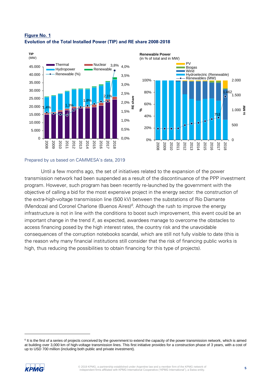

#### **Figure No. 1 Evolution of the Total Installed Power (TIP) and RE share 2008-2018**

#### Prepared by us based on CAMMESA's data, 2019

Until a few months ago, the set of initiatives related to the expansion of the power transmission network had been suspended as a result of the discontinuance of the PPP investment program. However, such program has been recently re-launched by the government with the objective of calling a bid for the most expensive project in the energy sector: the construction of the extra-high-voltage transmission line (500 kV) between the substations of Río Diamante (Mendoza) and Coronel Charlone (Buenos Aires)<sup> $6$ </sup>. Although the rush to improve the energy infrastructure is not in line with the conditions to boost such improvement, this event could be an important change in the trend if, as expected, awardees manage to overcome the obstacles to access financing posed by the high interest rates, the country risk and the unavoidable consequences of the corruption notebooks scandal, which are still not fully visible to date (this is the reason why many financial institutions still consider that the risk of financing public works is high, thus reducing the possibilities to obtain financing for this type of projects).

<sup>&</sup>lt;sup>6</sup> It is the first of a series of projects conceived by the government to extend the capacity of the power transmission network, which is aimed at building over 3,000 km of high-voltage transmission lines. This first initiative provides for a construction phase of 3 years, with a cost of up to USD 700 million (including both public and private investment).

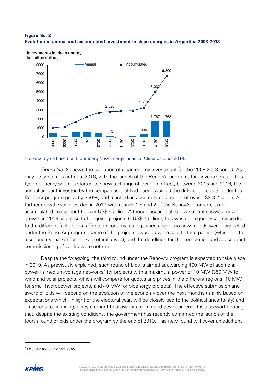#### **Figure No. 2 Evolution of annual and accumulated investment in clean energies in Argentina 2008-2018**

6.800



**Investments in clean energy** 

 $\Omega$ 

2008

2009

2010

2011

Prepared by us based on Bloomberg New Energy Finance, Climatoscope, 2019.

2013

2014

2015

2016

2017

2018

2012

Figure No. 2 shows the evolution of clean energy investment for the 2008-2018 period. As it may be seen, it is not until 2016, with the launch of the RenovAr program, that investments in this type of energy sources started to show a change of trend. In effect, between 2015 and 2016, the annual amount invested by the companies that had been awarded the different projects under the RenovAr program grew by 350%, and reached an accumulated amount of over US\$ 3.2 billion. A further growth was recorded in 2017 with rounds 1.5 and 2 of the RenovAr program, taking accumulated investment to over US\$ 5 billion. Although accumulated investment shows a new growth in 2018 as a result of ongoing projects (~US\$ 7 billion), this was not a good year, since due to the different factors that affected economy, as explained above, no new rounds were conducted under the RenovAr program, some of the projects awarded were sold to third parties (which led to a secondary market for the sale of initiatives), and the deadlines for the completion and subsequent commissioning of works were not met.

Despite the foregoing, the third round under the RenovAr program is expected to take place in 2019. As previously explained, such round of bids is aimed at awarding 400 MW of additional power in medium-voltage networks<sup>7</sup> for projects with a maximum power of 10 MW (350 MW for wind and solar projects, which will compete for quotas and prices in the different regions; 10 MW for small hydropower projects, and 40 MW for bioenergy projects). The effective submission and award of bids will depend on the evolution of the economy over the next months (mainly based on expectations which, in light of the electoral year, will be closely tied to the political uncertainty) and on access to financing, a key element to allow for a continued development. It is also worth noting that, despite the existing conditions, the government has recently confirmed the launch of the fourth round of bids under the program by the end of 2019. This new round will cover an additional

<sup>7</sup> I.e., 13.2 *K*v, 33 *K*v and 66 *K*v.

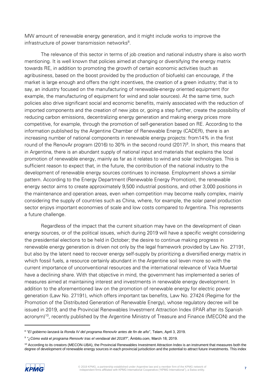MW amount of renewable energy generation, and it might include works to improve the infrastructure of power transmission networks<sup>8</sup>.

The relevance of this sector in terms of job creation and national industry share is also worth mentioning. It is well known that policies aimed at changing or diversifying the energy matrix towards RE, in addition to promoting the growth of certain economic activities (such as agribusiness, based on the boost provided by the production of biofuels) can encourage, if the market is large enough and offers the right incentives, the creation of a green industry; that is to say, an industry focused on the manufacturing of renewable-energy oriented equipment (for example, the manufacturing of equipment for wind and solar sources). At the same time, such policies also drive significant social and economic benefits, mainly associated with the reduction of imported components and the creation of new jobs or, going a step further, create the possibility of reducing carbon emissions, decentralizing energy generation and making energy prices more competitive, for example, through the promotion of self-generation based on RE. According to the information published by the Argentine Chamber of Renewable Energy (CADER), there is an increasing number of national components in renewable energy projects: from14% in the first round of the RenovAr program (2016) to 30% in the second round (2017)<sup>9</sup>. In short, this means that in Argentina, there is an abundant supply of national input and materials that explains the local promotion of renewable energy, mainly as far as it relates to wind and solar technologies. This is sufficient reason to expect that, in the future, the contribution of the national industry to the development of renewable energy sources continues to increase. Employment shows a similar pattern. According to the Energy Department (Renewable Energy Promotion), the renewable energy sector aims to create approximately 9,500 industrial positions, and other 3,000 positions in the maintenance and operation areas, even when competition may become really complex, mainly considering the supply of countries such as China, where, for example, the solar panel production sector enjoys important economies of scale and low costs compared to Argentina. This represents a future challenge.

Regardless of the impact that the current situation may have on the development of clean energy sources, or of the political issues, which during 2019 will have a specific weight considering the presidential elections to be held in October; the desire to continue making progress in renewable energy generation is driven not only by the legal framework provided by Law No. 27191, but also by the latent need to recover energy self-supply by prioritizing a diversified energy matrix in which fossil fuels, a resource certainly abundant in the Argentine soil (even more so with the current importance of unconventional resources and the international relevance of Vaca Muerta) have a declining share. With that objective in mind, the government has implemented a series of measures aimed at maintaining interest and investments in renewable energy development. In addition to the aforementioned law on the promotion of renewable energy for electric power generation (Law No. 27191), which offers important tax benefits, Law No. 27424 (Regime for the Promotion of the Distributed Generation of Renewable Energy), whose regulatory decree will be issued in 2019, and the Provincial Renewables Investment Attraction Index (IPAR after its Spanish acronym)<sup>10</sup>, recently published by the Argentine Ministry of Treasure and Finance (MECON) and the

<sup>&</sup>lt;sup>10</sup> According to its creators (MECON-UBA), the Provincial Renewables Investment Attraction Index is an instrument that measures both the degree of development of renewable energy sources in each provincial jurisdiction and the potential to attract future investments. This index



<sup>8</sup> "*El gobierno lanzará la Ronda IV del programa RenovAr antes de fin de año*", Telam, April 3, 2019.

<sup>9</sup> *"¿Cómo está el programa RenovAr tras el vendaval del 2018*?", Ámbito.com, March 18, 2019.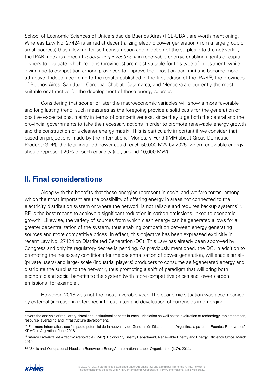School of Economic Sciences of Universidad de Buenos Aires (FCE-UBA), are worth mentioning. Whereas Law No. 27424 is aimed at decentralizing electric power generation (from a large group of small sources) thus allowing for self-consumption and injection of the surplus into the network $^{11}$ ; the IPAR index is aimed at federalizing investment in renewable energy, enabling agents or capital owners to evaluate which regions (provinces) are most suitable for this type of investment, while giving rise to competition among provinces to improve their position (ranking) and become more attractive. Indeed, according to the results published in the first edition of the IPAR<sup>12</sup>, the provinces of Buenos Aires, San Juan, Córdoba, Chubut, Catamarca, and Mendoza are currently the most suitable or attractive for the development of these energy sources.

Considering that sooner or later the macroeconomic variables will show a more favorable and long lasting trend, such measures as the foregoing provide a solid basis for the generation of positive expectations, mainly in terms of competitiveness, since they urge both the central and the provincial governments to take the necessary actions in order to promote renewable energy growth and the construction of a cleaner energy matrix. This is particularly important if we consider that, based on projections made by the International Monetary Fund (IMF) about Gross Domestic Product (GDP), the total installed power could reach 50,000 MW by 2025, when renewable energy should represent 20% of such capacity (i.e., around 10,000 MW).

#### **II. Final considerations**

Along with the benefits that these energies represent in social and welfare terms, among which the most important are the possibility of offering energy in areas not connected to the electricity distribution system or where the network is not reliable and requires backup systems<sup>13</sup>, RE is the best means to achieve a significant reduction in carbon emissions linked to economic growth. Likewise, the variety of sources from which clean energy can be generated allows for a greater decentralization of the system, thus enabling competition between energy generating sources and more competitive prices. In effect, this objective has been expressed explicitly in recent Law No. 27424 on Distributed Generation (DG). This Law has already been approved by Congress and only its regulatory decree is pending. As previously mentioned, the DG, in addition to promoting the necessary conditions for the decentralization of power generation, will enable small- (private users) and large- scale (industrial players) producers to consume self-generated energy and distribute the surplus to the network, thus promoting a shift of paradigm that will bring both economic and social benefits to the system (with more competitive prices and lower carbon emissions, for example).

However, 2018 was not the most favorable year. The economic situation was accompanied by external (increase in reference interest rates and devaluation of currencies in emerging

<sup>13</sup> "Skills and Occupational Needs in Renewable Energy". International Labor Organization (ILO), 2011.



<sup>1</sup> covers the analysis of regulatory, fiscal and institutional aspects in each jurisdiction as well as the evaluation of technology implementation, resource leveraging and infrastructure development.

<sup>&</sup>lt;sup>11</sup> For more information, see "Impacto potencial de la nueva ley de Generación Distribuida en Argentina, a partir de Fuentes Renovables", KPMG in Argentina, June 2018.

<sup>12</sup> "*Indice Provincial de Atractivo Renovable* (IPAR). Edición 1", Energy Department, Renewable Energy and Energy Efficiency Office, March 2019.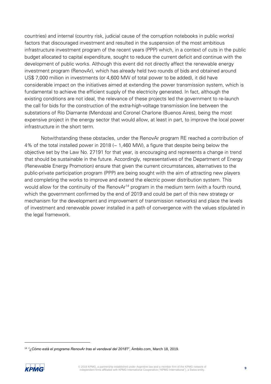countries) and internal (country risk, judicial cause of the corruption notebooks in public works) factors that discouraged investment and resulted in the suspension of the most ambitious infrastructure investment program of the recent years (PPP) which, in a context of cuts in the public budget allocated to capital expenditure, sought to reduce the current deficit and continue with the development of public works. Although this event did not directly affect the renewable energy investment program (RenovAr), which has already held two rounds of bids and obtained around US\$ 7,000 million in investments (or 4,600 MW of total power to be added), it did have considerable impact on the initiatives aimed at extending the power transmission system, which is fundamental to achieve the efficient supply of the electricity generated. In fact, although the existing conditions are not ideal, the relevance of these projects led the government to re-launch the call for bids for the construction of the extra-high-voltage transmission line between the substations of Río Diamante (Mendoza) and Coronel Charlone (Buenos Aires), being the most expensive project in the energy sector that would allow, at least in part, to improve the local power infrastructure in the short term.

Notwithstanding these obstacles, under the RenovAr program RE reached a contribution of 4% of the total installed power in 2018 ( $\sim$  1,460 MW), a figure that despite being below the objective set by the Law No. 27191 for that year, is encouraging and represents a change in trend that should be sustainable in the future. Accordingly, representatives of the Department of Energy (Renewable Energy Promotion) ensure that given the current circumstances, alternatives to the public-private participation program (PPP) are being sought with the aim of attracting new players and completing the works to improve and extend the electric power distribution system. This would allow for the continuity of the RenovAr<sup>14</sup> program in the medium term (with a fourth round, which the government confirmed by the end of 2019 and could be part of this new strategy or mechanism for the development and improvement of transmission networks) and place the levels of investment and renewable power installed in a path of convergence with the values stipulated in the legal framework.

<sup>14</sup> *"¿Cómo está el programa RenovAr tras el vendaval del 2018*?", Ámbito.com, March 18, 2019.

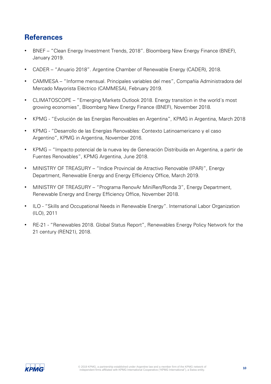#### **References**

- BNEF "Clean Energy Investment Trends, 2018". Bloomberg New Energy Finance (BNEF), January 2019.
- CADER "Anuario 2018". Argentine Chamber of Renewable Energy (CADER), 2018.
- CAMMESA "Informe mensual. Principales variables del mes", Compañía Administradora del Mercado Mayorista Eléctrico (CAMMESA), February 2019.
- CLIMATOSCOPE "Emerging Markets Outlook 2018. Energy transition in the world´s most growing economies", Bloomberg New Energy Finance (BNEF), November 2018.
- KPMG "Evolución de las Energías Renovables en Argentina", KPMG in Argentina, March 2018
- KPMG "Desarrollo de las Energías Renovables: Contexto Latinoamericano y el caso Argentino", KPMG in Argentina, November 2016.
- KPMG "Impacto potencial de la nueva ley de Generación Distribuida en Argentina, a partir de Fuentes Renovables", KPMG Argentina, June 2018.
- MINISTRY OF TREASURY "Indice Provincial de Atractivo Renovable (IPAR)", Energy Department, Renewable Energy and Energy Efficiency Office, March 2019.
- MINISTRY OF TREASURY "Programa RenovAr MiniRen/Ronda 3", Energy Department, Renewable Energy and Energy Efficiency Office, November 2018.
- ILO "Skills and Occupational Needs in Renewable Energy". International Labor Organization (ILO), 2011
- RE-21 "Renewables 2018. Global Status Report", Renewables Energy Policy Network for the 21 century (REN21), 2018.

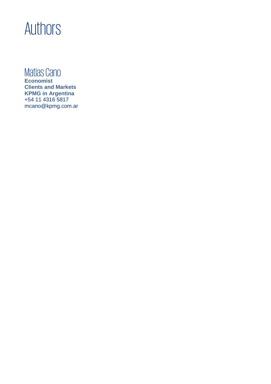## Authors

### Matías Cano

**Economist Clients and Markets KPMG in Argentina** +54 11 4316 5817 [mcano@kpmg.com.ar](mailto:mcano@kpmg.com.ar)